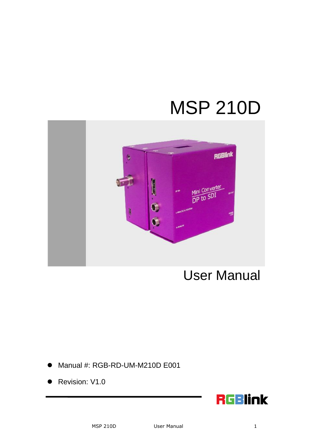# MSP 210D



User Manual

- Manual #: RGB-RD-UM-M210D E001
- Revision: V1.0

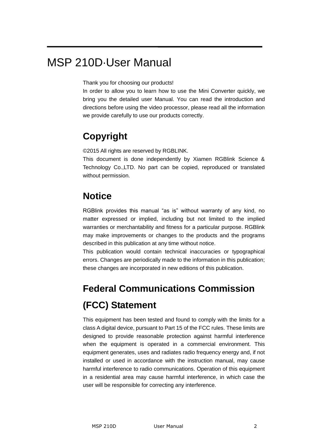## MSP 210D·User Manual

Thank you for choosing our products!

In order to allow you to learn how to use the Mini Converter quickly, we bring you the detailed user Manual. You can read the introduction and directions before using the video processor, please read all the information we provide carefully to use our products correctly.

## **Copyright**

©2015 All rights are reserved by RGBLINK.

This document is done independently by Xiamen RGBlink Science & Technology Co.,LTD. No part can be copied, reproduced or translated without permission.

#### **Notice**

RGBlink provides this manual "as is" without warranty of any kind, no matter expressed or implied, including but not limited to the implied warranties or merchantability and fitness for a particular purpose. RGBlink may make improvements or changes to the products and the programs described in this publication at any time without notice.

This publication would contain technical inaccuracies or typographical errors. Changes are periodically made to the information in this publication; these changes are incorporated in new editions of this publication.

## **Federal Communications Commission (FCC) Statement**

This equipment has been tested and found to comply with the limits for a class A digital device, pursuant to Part 15 of the FCC rules. These limits are designed to provide reasonable protection against harmful interference when the equipment is operated in a commercial environment. This equipment generates, uses and radiates radio frequency energy and, if not installed or used in accordance with the instruction manual, may cause harmful interference to radio communications. Operation of this equipment in a residential area may cause harmful interference, in which case the user will be responsible for correcting any interference.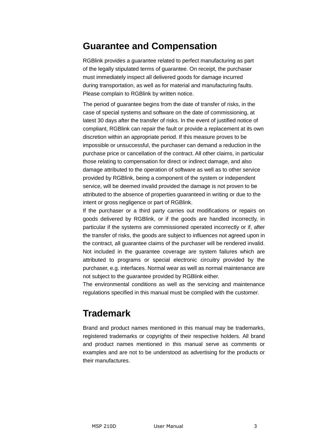#### **Guarantee and Compensation**

RGBlink provides a guarantee related to perfect manufacturing as part of the legally stipulated terms of guarantee. On receipt, the purchaser must immediately inspect all delivered goods for damage incurred during transportation, as well as for material and manufacturing faults. Please complain to RGBlink by written notice.

The period of guarantee begins from the date of transfer of risks, in the case of special systems and software on the date of commissioning, at latest 30 days after the transfer of risks. In the event of justified notice of compliant, RGBlink can repair the fault or provide a replacement at its own discretion within an appropriate period. If this measure proves to be impossible or unsuccessful, the purchaser can demand a reduction in the purchase price or cancellation of the contract. All other claims, in particular those relating to compensation for direct or indirect damage, and also damage attributed to the operation of software as well as to other service provided by RGBlink, being a component of the system or independent service, will be deemed invalid provided the damage is not proven to be attributed to the absence of properties guaranteed in writing or due to the intent or gross negligence or part of RGBlink.

If the purchaser or a third party carries out modifications or repairs on goods delivered by RGBlink, or if the goods are handled incorrectly, in particular if the systems are commissioned operated incorrectly or if, after the transfer of risks, the goods are subject to influences not agreed upon in the contract, all guarantee claims of the purchaser will be rendered invalid. Not included in the guarantee coverage are system failures which are attributed to programs or special electronic circuitry provided by the purchaser, e.g. interfaces. Normal wear as well as normal maintenance are not subject to the guarantee provided by RGBlink either.

The environmental conditions as well as the servicing and maintenance regulations specified in this manual must be complied with the customer.

### **Trademark**

Brand and product names mentioned in this manual may be trademarks, registered trademarks or copyrights of their respective holders. All brand and product names mentioned in this manual serve as comments or examples and are not to be understood as advertising for the products or their manufactures.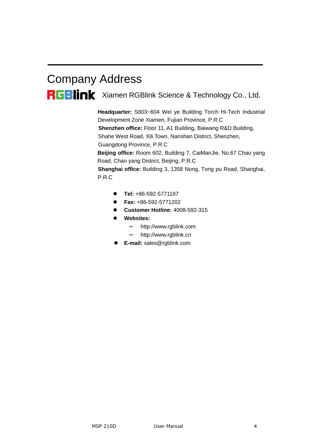# Company Address **RGBlink** Xiamen RGBlink Science & Technology Co., Ltd.

**Headquarter:** S603~604 Wei ye Building Torch Hi-Tech Industrial Development Zone Xiamen, Fujian Province, P.R.C **Shenzhen office:** Floor 11, A1 Building, Baiwang R&D Building, Shahe West Road, Xili Town, Nanshan District, Shenzhen, Guangdong Province, P.R.C **Beijing office:** Room 602, Building 7, CaiManJie, No.67 Chao yang Road, Chao yang District, Beijing, P.R.C **Shanghai office:** Building 3, 1358 Nong, Tong pu Road, Shanghai, P.R.C

- **Tel:** +86-592-5771197
- **Fax:** +86-592-5771202
- **Customer Hotline:** 4008-592-315
- **Websites:** 
	- $\sim$  http://www.rgblink.com
	- $\sim$  http://www.rgblink.cn
- **E-mail:** [sales@rgblink.com](mailto:rgblinkcs@gmail.com)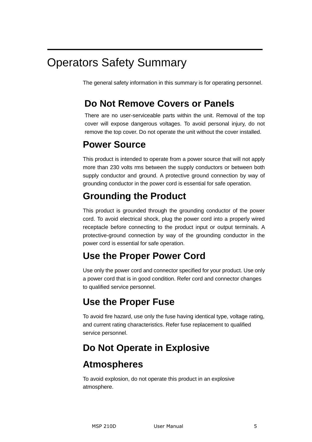## Operators Safety Summary

The general safety information in this summary is for operating personnel.

## **Do Not Remove Covers or Panels**

There are no user-serviceable parts within the unit. Removal of the top cover will expose dangerous voltages. To avoid personal injury, do not remove the top cover. Do not operate the unit without the cover installed.

### **Power Source**

This product is intended to operate from a power source that will not apply more than 230 volts rms between the supply conductors or between both supply conductor and ground. A protective ground connection by way of grounding conductor in the power cord is essential for safe operation.

## **Grounding the Product**

This product is grounded through the grounding conductor of the power cord. To avoid electrical shock, plug the power cord into a properly wired receptacle before connecting to the product input or output terminals. A protective-ground connection by way of the grounding conductor in the power cord is essential for safe operation.

## **Use the Proper Power Cord**

Use only the power cord and connector specified for your product. Use only a power cord that is in good condition. Refer cord and connector changes to qualified service personnel.

## **Use the Proper Fuse**

To avoid fire hazard, use only the fuse having identical type, voltage rating, and current rating characteristics. Refer fuse replacement to qualified service personnel.

## **Do Not Operate in Explosive**

## **Atmospheres**

To avoid explosion, do not operate this product in an explosive atmosphere.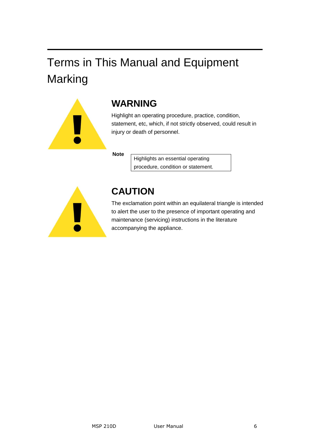# Terms in This Manual and Equipment Marking



## **WARNING**

Highlight an operating procedure, practice, condition, statement, etc, which, if not strictly observed, could result in injury or death of personnel.

**Note**

Highlights an essential operating procedure, condition or statement.



## **CAUTION**

The exclamation point within an equilateral triangle is intended to alert the user to the presence of important operating and maintenance (servicing) instructions in the literature accompanying the appliance.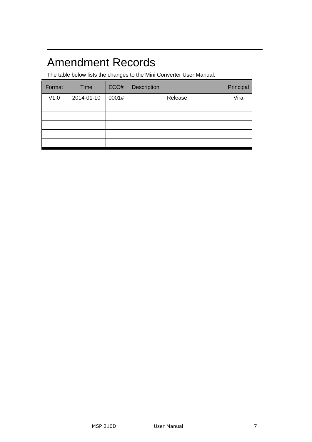# Amendment Records

The table below lists the changes to the Mini Converter User Manual.

| Format | Time       | ECO#  | Description | Principal |
|--------|------------|-------|-------------|-----------|
| V1.0   | 2014-01-10 | 0001# | Release     | Vira      |
|        |            |       |             |           |
|        |            |       |             |           |
|        |            |       |             |           |
|        |            |       |             |           |
|        |            |       |             |           |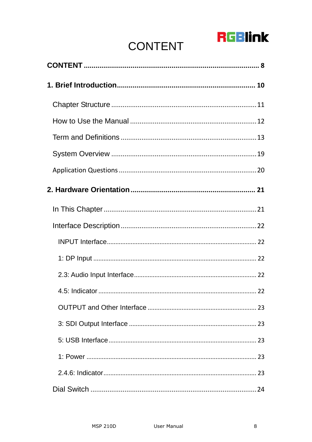# **RGBlink**

# **CONTENT**

<span id="page-7-0"></span>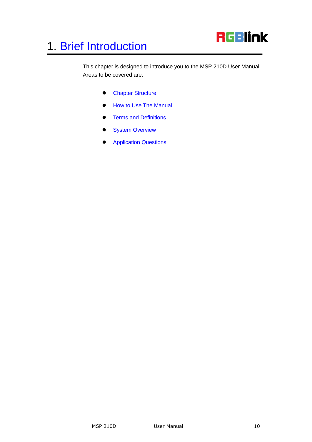

<span id="page-9-2"></span><span id="page-9-1"></span><span id="page-9-0"></span>This chapter is designed to introduce you to the MSP 210D User Manual. Areas to be covered are:

- **•** [Chapter Structure](#page-10-0)
- [How to Use The Manual](#page-11-0)
- <span id="page-9-3"></span>**•** [Terms and Definitions](#page-12-0)
- <span id="page-9-4"></span>• [System Overview](#page-18-0)
- <span id="page-9-5"></span>**•** [Application Questions](#page-19-0)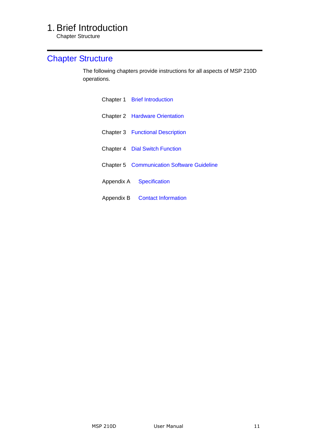Chapter Structure

### <span id="page-10-2"></span><span id="page-10-1"></span><span id="page-10-0"></span>[Chapter Structure](#page-9-1)

The following chapters provide instructions for all aspects of MSP 210D operations.

<span id="page-10-7"></span><span id="page-10-6"></span><span id="page-10-5"></span><span id="page-10-4"></span><span id="page-10-3"></span>

| Chapter 1 Brief Introduction                      |
|---------------------------------------------------|
| <b>Chapter 2 Hardware Orientation</b>             |
| <b>Chapter 3</b> Functional Description           |
| <b>Chapter 4 Dial Switch Function</b>             |
| <b>Chapter 5 Communication Software Guideline</b> |
| Appendix A Specification                          |
| Appendix B Contact Information                    |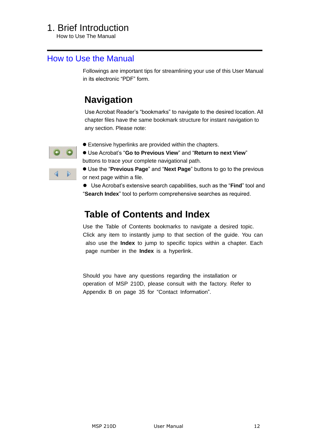How to Use The Manual

#### <span id="page-11-0"></span>[How to Use the Manual](#page-9-2)

Followings are important tips for streamlining your use of this User Manual in its electronic "PDF" form.

## **Navigation**

Use Acrobat Reader's "bookmarks" to navigate to the desired location. All chapter files have the same bookmark structure for instant navigation to any section. Please note:



- Extensive hyperlinks are provided within the chapters.
- $\bullet$  Use Acrobat's "Go to Previous View" and "Return to next View" buttons to trace your complete navigational path.

● Use the "Previous Page" and "Next Page" buttons to go to the previous or next page within a file.

● Use Acrobat's extensive search capabilities, such as the "**Find**" tool and ―**Search Index**‖ tool to perform comprehensive searches as required.

### **Table of Contents and Index**

Use the Table of Contents bookmarks to navigate a desired topic. Click any item to instantly jump to that section of the guide. You can also use the **Index** to jump to specific topics within a chapter. Each page number in the **Index** is a hyperlink.

Should you have any questions regarding the installation or operation of MSP 210D, please consult with the factory. Refer to Appendix B on page 35 for "Contact Information".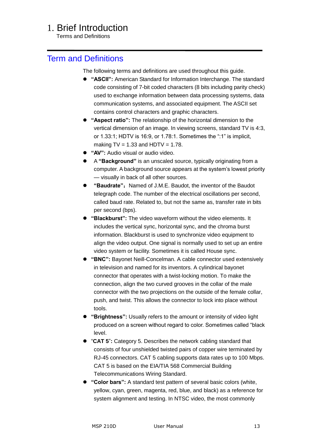Terms and Definitions

#### <span id="page-12-0"></span>[Term and Definitions](#page-9-3)

The following terms and definitions are used throughout this guide.

- **"ASCII":** American Standard for Information Interchange. The standard code consisting of 7-bit coded characters (8 bits including parity check) used to exchange information between data processing systems, data communication systems, and associated equipment. The ASCII set contains control characters and graphic characters.
- **"Aspect ratio":** The relationship of the horizontal dimension to the vertical dimension of an image. In viewing screens, standard TV is 4:3, or  $1.33:1$ ; HDTV is  $16:9$ , or  $1.78:1$ . Sometimes the ":1" is implicit, making  $TV = 1.33$  and  $HDTV = 1.78$ .
- **"AV":** Audio visual or audio video.
- A **"Background"** is an unscaled source, typically originating from a computer. A background source appears at the system's lowest priority — visually in back of all other sources.
- **"Baudrate":** Named of J.M.E. Baudot, the inventor of the Baudot telegraph code. The number of the electrical oscillations per second, called baud rate. Related to, but not the same as, transfer rate in bits per second (bps).
- **"Blackburst":** The video waveform without the video elements. It includes the vertical sync, horizontal sync, and the chroma burst information. Blackburst is used to synchronize video equipment to align the video output. One signal is normally used to set up an entire video system or facility. Sometimes it is called House sync.
- **"BNC":** Bayonet Neill-Concelman. A cable connector used extensively in television and named for its inventors. A cylindrical bayonet connector that operates with a twist-locking motion. To make the connection, align the two curved grooves in the collar of the male connector with the two projections on the outside of the female collar, push, and twist. This allows the connector to lock into place without tools.
- **"Brightness":** Usually refers to the amount or intensity of video light produced on a screen without regard to color. Sometimes called "black" level.
- ―**CAT 5**‖**:** Category 5. Describes the network cabling standard that consists of four unshielded twisted pairs of copper wire terminated by RJ-45 connectors. CAT 5 cabling supports data rates up to 100 Mbps. CAT 5 is based on the EIA/TIA 568 Commercial Building Telecommunications Wiring Standard.
- **"Color bars":** A standard test pattern of several basic colors (white, yellow, cyan, green, magenta, red, blue, and black) as a reference for system alignment and testing. In NTSC video, the most commonly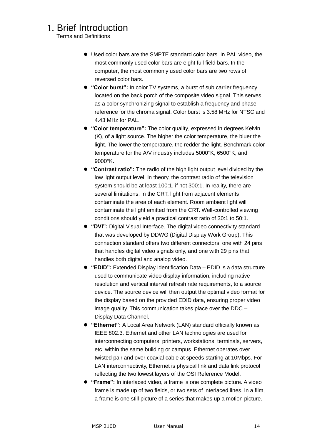Terms and Definitions

- Used color bars are the SMPTE standard color bars. In PAL video, the most commonly used color bars are eight full field bars. In the computer, the most commonly used color bars are two rows of reversed color bars.
- **"Color burst":** In color TV systems, a burst of sub carrier frequency located on the back porch of the composite video signal. This serves as a color synchronizing signal to establish a frequency and phase reference for the chroma signal. Color burst is 3.58 MHz for NTSC and 4.43 MHz for PAL.
- **"Color temperature":** The color quality, expressed in degrees Kelvin (K), of a light source. The higher the color temperature, the bluer the light. The lower the temperature, the redder the light. Benchmark color temperature for the A/V industry includes 5000°K, 6500°K, and 9000°K.
- **"Contrast ratio":** The radio of the high light output level divided by the low light output level. In theory, the contrast radio of the television system should be at least 100:1, if not 300:1. In reality, there are several limitations. In the CRT, light from adjacent elements contaminate the area of each element. Room ambient light will contaminate the light emitted from the CRT. Well-controlled viewing conditions should yield a practical contrast ratio of 30:1 to 50:1.
- **"DVI":** Digital Visual Interface. The digital video connectivity standard that was developed by DDWG (Digital Display Work Group). This connection standard offers two different connectors: one with 24 pins that handles digital video signals only, and one with 29 pins that handles both digital and analog video.
- **"EDID":** Extended Display Identification Data EDID is a data structure used to communicate video display information, including native resolution and vertical interval refresh rate requirements, to a source device. The source device will then output the optimal video format for the display based on the provided EDID data, ensuring proper video image quality. This communication takes place over the DDC – Display Data Channel.
- **"Ethernet":** A Local Area Network (LAN) standard officially known as IEEE 802.3. Ethernet and other LAN technologies are used for interconnecting computers, printers, workstations, terminals, servers, etc. within the same building or campus. Ethernet operates over twisted pair and over coaxial cable at speeds starting at 10Mbps. For LAN interconnectivity, Ethernet is physical link and data link protocol reflecting the two lowest layers of the OSI Reference Model.
- **"Frame":** In interlaced video, a frame is one complete picture. A video frame is made up of two fields, or two sets of interlaced lines. In a film, a frame is one still picture of a series that makes up a motion picture.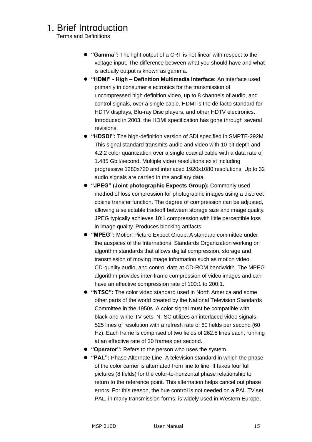Terms and Definitions

- **"Gamma":** The light output of a CRT is not linear with respect to the voltage input. The difference between what you should have and what is actually output is known as gamma.
- **"HDMI" - High – Definition Multimedia Interface:** An interface used primarily in consumer electronics for the transmission of uncompressed high definition video, up to 8 channels of audio, and control signals, over a single cable. HDMI is the de facto standard for HDTV displays, Blu-ray Disc players, and other HDTV electronics. Introduced in 2003, the HDMI specification has gone through several revisions.
- **"HDSDI":** The high-definition version of SDI specified in SMPTE-292M. This signal standard transmits audio and video with 10 bit depth and 4:2:2 color quantization over a single coaxial cable with a data rate of 1.485 Gbit/second. Multiple video resolutions exist including progressive 1280x720 and interlaced 1920x1080 resolutions. Up to 32 audio signals are carried in the ancillary data.
- **"JPEG" (Joint photographic Expects Group):** Commonly used method of loss compression for photographic images using a discreet cosine transfer function. The degree of compression can be adjusted, allowing a selectable tradeoff between storage size and image quality. JPEG typically achieves 10:1 compression with little perceptible loss in image quality. Produces blocking artifacts.
- **"MPEG":** Motion Picture Expect Group. A standard committee under the auspices of the International Standards Organization working on algorithm standards that allows digital compression, storage and transmission of moving image information such as motion video, CD-quality audio, and control data at CD-ROM bandwidth. The MPEG algorithm provides inter-frame compression of video images and can have an effective compression rate of 100:1 to 200:1.
- **"NTSC":** The color video standard used in North America and some other parts of the world created by the National Television Standards Committee in the 1950s. A color signal must be compatible with black-and-white TV sets. NTSC utilizes an interlaced video signals, 525 lines of resolution with a refresh rate of 60 fields per second (60 Hz). Each frame is comprised of two fields of 262.5 lines each, running at an effective rate of 30 frames per second.
- **"Operator":** Refers to the person who uses the system.
- **"PAL":** Phase Alternate Line. A television standard in which the phase of the color carrier is alternated from line to line. It takes four full pictures (8 fields) for the color-to-horizontal phase relationship to return to the reference point. This alternation helps cancel out phase errors. For this reason, the hue control is not needed on a PAL TV set. PAL, in many transmission forms, is widely used in Western Europe,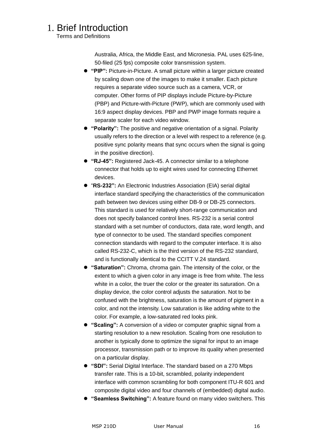Terms and Definitions

Australia, Africa, the Middle East, and Micronesia. PAL uses 625-line, 50-filed (25 fps) composite color transmission system.

- **"PIP":** Picture-in-Picture. A small picture within a larger picture created by scaling down one of the images to make it smaller. Each picture requires a separate video source such as a camera, VCR, or computer. Other forms of PIP displays include Picture-by-Picture (PBP) and Picture-with-Picture (PWP), which are commonly used with 16:9 aspect display devices. PBP and PWP image formats require a separate scaler for each video window.
- **"Polarity":** The positive and negative orientation of a signal. Polarity usually refers to the direction or a level with respect to a reference (e.g. positive sync polarity means that sync occurs when the signal is going in the positive direction).
- **"RJ-45":** Registered Jack-45. A connector similar to a telephone connector that holds up to eight wires used for connecting Ethernet devices.
- "RS-232": An Electronic Industries Association (EIA) serial digital interface standard specifying the characteristics of the communication path between two devices using either DB-9 or DB-25 connectors. This standard is used for relatively short-range communication and does not specify balanced control lines. RS-232 is a serial control standard with a set number of conductors, data rate, word length, and type of connector to be used. The standard specifies component connection standards with regard to the computer interface. It is also called RS-232-C, which is the third version of the RS-232 standard, and is functionally identical to the CCITT V.24 standard.
- **"Saturation":** Chroma, chroma gain. The intensity of the color, or the extent to which a given color in any image is free from white. The less white in a color, the truer the color or the greater its saturation. On a display device, the color control adjusts the saturation. Not to be confused with the brightness, saturation is the amount of pigment in a color, and not the intensity. Low saturation is like adding white to the color. For example, a low-saturated red looks pink.
- **"Scaling":** A conversion of a video or computer graphic signal from a starting resolution to a new resolution. Scaling from one resolution to another is typically done to optimize the signal for input to an image processor, transmission path or to improve its quality when presented on a particular display.
- **"SDI":** Serial Digital Interface. The standard based on a 270 Mbps transfer rate. This is a 10-bit, scrambled, polarity independent interface with common scrambling for both component ITU-R 601 and composite digital video and four channels of (embedded) digital audio.
- **"Seamless Switching":** A feature found on many video switchers. This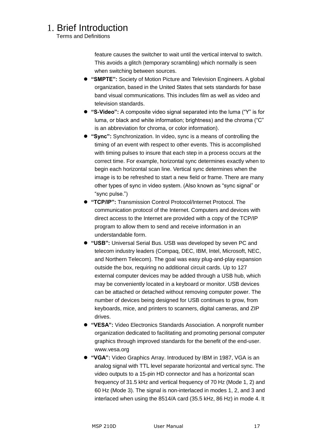Terms and Definitions

feature causes the switcher to wait until the vertical interval to switch. This avoids a glitch (temporary scrambling) which normally is seen when switching between sources.

- **"SMPTE":** Society of Motion Picture and Television Engineers. A global organization, based in the United States that sets standards for base band visual communications. This includes film as well as video and television standards.
- "S-Video": A composite video signal separated into the luma ("Y" is for luma, or black and white information; brightness) and the chroma ("C" is an abbreviation for chroma, or color information).
- **"Sync":** Synchronization. In video, sync is a means of controlling the timing of an event with respect to other events. This is accomplished with timing pulses to insure that each step in a process occurs at the correct time. For example, horizontal sync determines exactly when to begin each horizontal scan line. Vertical sync determines when the image is to be refreshed to start a new field or frame. There are many other types of sync in video system. (Also known as "sync signal" or ―sync pulse.‖)
- **"TCP/IP":** Transmission Control Protocol/Internet Protocol. The communication protocol of the Internet. Computers and devices with direct access to the Internet are provided with a copy of the TCP/IP program to allow them to send and receive information in an understandable form.
- **"USB":** Universal Serial Bus. USB was developed by seven PC and telecom industry leaders (Compaq, DEC, IBM, Intel, Microsoft, NEC, and Northern Telecom). The goal was easy plug-and-play expansion outside the box, requiring no additional circuit cards. Up to 127 external computer devices may be added through a USB hub, which may be conveniently located in a keyboard or monitor. USB devices can be attached or detached without removing computer power. The number of devices being designed for USB continues to grow, from keyboards, mice, and printers to scanners, digital cameras, and ZIP drives.
- **"VESA":** Video Electronics Standards Association. A nonprofit number organization dedicated to facilitating and promoting personal computer graphics through improved standards for the benefit of the end-user. www.vesa.org
- **"VGA":** Video Graphics Array. Introduced by IBM in 1987, VGA is an analog signal with TTL level separate horizontal and vertical sync. The video outputs to a 15-pin HD connector and has a horizontal scan frequency of 31.5 kHz and vertical frequency of 70 Hz (Mode 1, 2) and 60 Hz (Mode 3). The signal is non-interlaced in modes 1, 2, and 3 and interlaced when using the 8514/A card (35.5 kHz, 86 Hz) in mode 4. It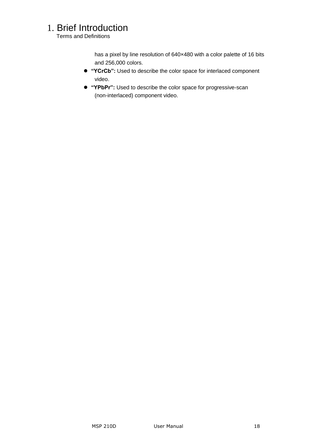Terms and Definitions

has a pixel by line resolution of 640×480 with a color palette of 16 bits and 256,000 colors.

- **"YCrCb":** Used to describe the color space for interlaced component video.
- **"YPbPr":** Used to describe the color space for progressive-scan (non-interlaced) component video.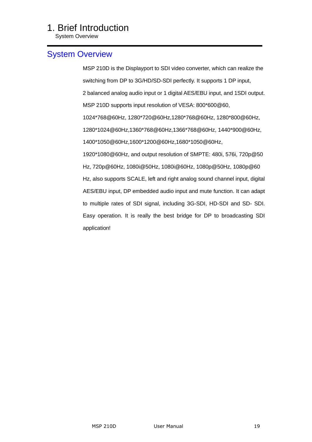System Overview

#### <span id="page-18-0"></span>[System Overview](#page-9-4)

MSP 210D is the Displayport to SDI video converter, which can realize the switching from DP to 3G/HD/SD-SDI perfectly. It supports 1 DP input, 2 balanced analog audio input or 1 digital AES/EBU input, and 1SDI output. MSP 210D supports input resolution of VESA: 800\*600@60, 1024\*768@60Hz, 1280\*720@60Hz,1280\*768@60Hz, 1280\*800@60Hz, 1280\*1024@60Hz,1360\*768@60Hz,1366\*768@60Hz, 1440\*900@60Hz, 1400\*1050@60Hz,1600\*1200@60Hz,1680\*1050@60Hz, 1920\*1080@60Hz, and output resolution of SMPTE: 480i, 576i, 720p@50 Hz, 720p@60Hz, 1080i@50Hz, 1080i@60Hz, 1080p@50Hz, 1080p@60 Hz, also supports SCALE, left and right analog sound channel input, digital AES/EBU input, DP embedded audio input and mute function. It can adapt to multiple rates of SDI signal, including 3G-SDI, HD-SDI and SD- SDI. Easy operation. It is really the best bridge for DP to broadcasting SDI application!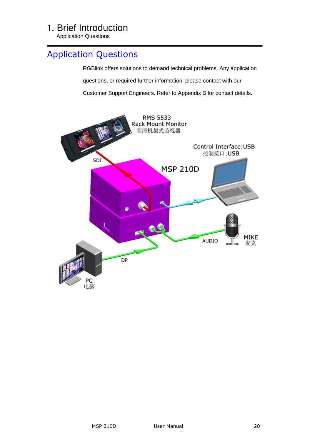Application Questions

### <span id="page-19-0"></span>[Application Questions](#page-9-5)

RGBlink offers solutions to demand technical problems. Any application questions, or required further information, please contact with our Customer Support Engineers. Refer to Appendix B for contact details.

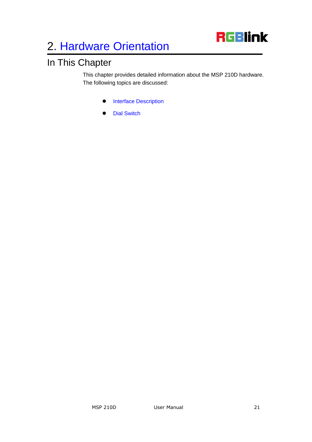

## <span id="page-20-2"></span><span id="page-20-1"></span><span id="page-20-0"></span>In This Chapter

<span id="page-20-3"></span>This chapter provides detailed information about the MSP 210D hardware. The following topics are discussed:

- **•** [Interface Description](#page-21-5)
- [Dial Switch](#page-23-2)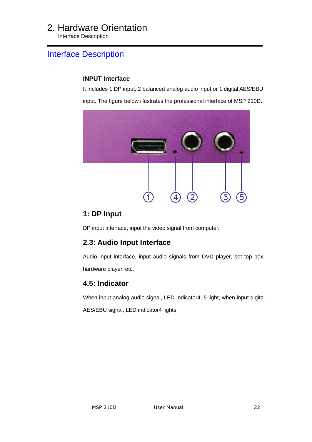<span id="page-21-0"></span>Interface Description

#### <span id="page-21-5"></span><span id="page-21-1"></span>[Interface Description](#page-20-2)

#### **INPUT Interface**

It includes 1 DP input, 2 balanced analog audio input or 1 digital AES/EBU input. The figure below illustrates the professional interface of MSP 210D.



#### <span id="page-21-2"></span>**1: DP Input**

DP input interface, input the video signal from computer.

#### <span id="page-21-3"></span>**2.3: Audio Input Interface**

Audio input interface, input audio signals from DVD player, set top box, hardware player, etc.

#### <span id="page-21-4"></span>**4.5: Indicator**

When input analog audio signal, LED indicator4, 5 light, when input digital AES/EBU signal, LED indicator4 lights.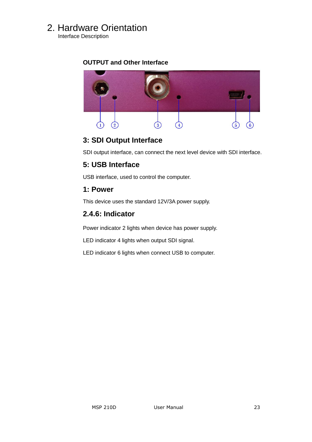<span id="page-22-0"></span>Interface Description

#### **OUTPUT and Other Interface**



#### <span id="page-22-1"></span>**3: SDI Output Interface**

SDI output interface, can connect the next level device with SDI interface.

#### <span id="page-22-2"></span>**5: USB Interface**

USB interface, used to control the computer.

#### <span id="page-22-3"></span>**1: Power**

This device uses the standard 12V/3A power supply.

#### <span id="page-22-4"></span>**2.4.6: Indicator**

Power indicator 2 lights when device has power supply.

LED indicator 4 lights when output SDI signal.

LED indicator 6 lights when connect USB to computer.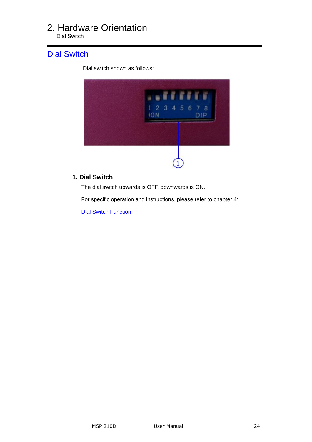<span id="page-23-0"></span>Dial Switch

#### <span id="page-23-2"></span>[Dial Switch](#page-20-3)

Dial switch shown as follows:



#### <span id="page-23-1"></span> **1. Dial Switch**

The dial switch upwards is OFF, downwards is ON.

For specific operation and instructions, please refer to chapter 4:

[Dial Switch Function.](#page-25-0)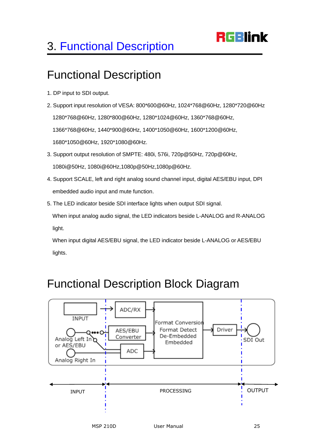# **RGBlink**

# <span id="page-24-0"></span>3. [Functional Description](#page-10-3)

## <span id="page-24-1"></span>Functional Description

- 1. DP input to SDI output.
- 2. Support input resolution of VESA: 800\*600@60Hz, 1024\*768@60Hz, 1280\*720@60Hz 1280\*768@60Hz, 1280\*800@60Hz, 1280\*1024@60Hz, 1360\*768@60Hz, 1366\*768@60Hz, 1440\*900@60Hz, 1400\*1050@60Hz, 1600\*1200@60Hz, 1680\*1050@60Hz, 1920\*1080@60Hz.
- 3. Support output resolution of SMPTE: 480i, 576i, 720p@50Hz, 720p@60Hz, 1080i@50Hz, 1080i@60Hz,1080p@50Hz,1080p@60Hz.
- 4. Support SCALE, left and right analog sound channel input, digital AES/EBU input, DPI embedded audio input and mute function.
- 5. The LED indicator beside SDI interface lights when output SDI signal.

 When input analog audio signal, the LED indicators beside L-ANALOG and R-ANALOG light.

 When input digital AES/EBU signal, the LED indicator beside L-ANALOG or AES/EBU lights.

## <span id="page-24-2"></span>Functional Description Block Diagram

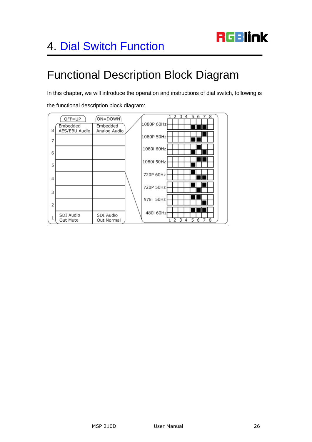## <span id="page-25-1"></span><span id="page-25-0"></span>Functional Description Block Diagram

In this chapter, we will introduce the operation and instructions of dial switch, following is

the functional description block diagram:

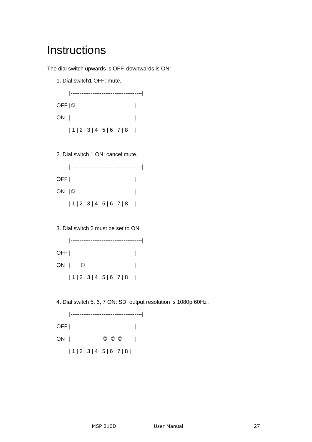## <span id="page-26-0"></span>**Instructions**

The dial switch upwards is OFF, downwards is ON:

1. Dial switch1 OFF: mute.

|---------------------------------------| OFF |◎ | ON | |  $|1|2|3|4|5|6|7|8$  |

2. Dial switch 1 ON: cancel mute.

| OFF   |                 |  |
|-------|-----------------|--|
| ON 10 |                 |  |
|       | 1 2 3 4 5 6 7 8 |  |

3. Dial switch 2 must be set to ON.



4. Dial switch 5, 6, 7 ON: SDI output resolution is 1080p 60Hz .

|---------------------------------------| OFF | | ON | ◎ ◎ ◎ | | 1 | 2 | 3 | 4 | 5 | 6 | 7 | 8 |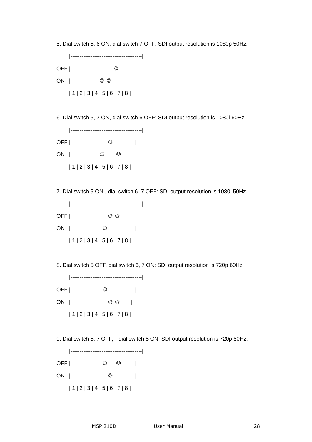5. Dial switch 5, 6 ON, dial switch 7 OFF: SDI output resolution is 1080p 50Hz.



6. Dial switch 5, 7 ON, dial switch 6 OFF: SDI output resolution is 1080i 60Hz.



7. Dial switch 5 ON , dial switch 6, 7 OFF: SDI output resolution is 1080i 50Hz.



8. Dial switch 5 OFF, dial switch 6, 7 ON: SDI output resolution is 720p 60Hz.

|---------------------------------------| OFF | | ON | ◎ ◎ | | 1 | 2 | 3 | 4 | 5 | 6 | 7 | 8 |

9. Dial switch 5, 7 OFF, dial switch 6 ON: SDI output resolution is 720p 50Hz.

|---------------------------------------| OFF | © © | ON | ◎ | | 1 | 2 | 3 | 4 | 5 | 6 | 7 | 8 |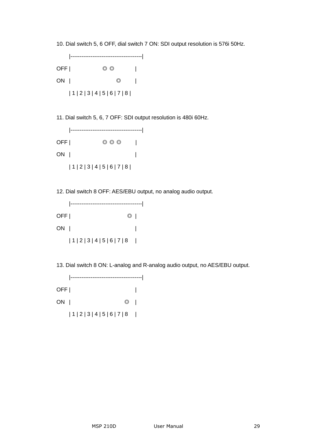10. Dial switch 5, 6 OFF, dial switch 7 ON: SDI output resolution is 576i 50Hz.



11. Dial switch 5, 6, 7 OFF: SDI output resolution is 480i 60Hz.



12. Dial switch 8 OFF: AES/EBU output, no analog audio output.



13. Dial switch 8 ON: L-analog and R-analog audio output, no AES/EBU output.

|---------------------------------------| OFF | | ON | ◎ |  $|1|2|3|4|5|6|7|8$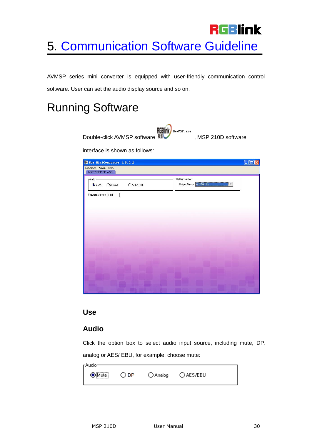# <span id="page-29-0"></span>**RGBlink** 5. [Communication Software Guideline](#page-10-5)

AVMSP series mini converter is equipped with user-friendly communication control software. User can set the audio display source and so on.

## <span id="page-29-1"></span>Running Software

**RGHING**<br>Double-click AVMSP software **RECO** , MSP 210D software

interface is shown as follows:

| New MiniConvertor 1.5.5.2                            | $\Box$ e                                                               |
|------------------------------------------------------|------------------------------------------------------------------------|
| Language Admin Help<br>MSP 210DP DP to SDI           |                                                                        |
| r Audio-<br>$\bigcirc$ Mute<br>O AES/EBU<br>O Analog | pOutput Format-<br>$\overline{\phantom{0}}$<br>Output Format 4801@60Hz |
| Fireware Version: 1.04                               |                                                                        |
|                                                      |                                                                        |
|                                                      |                                                                        |
|                                                      |                                                                        |
|                                                      |                                                                        |
|                                                      |                                                                        |
|                                                      |                                                                        |
|                                                      |                                                                        |
|                                                      |                                                                        |
|                                                      |                                                                        |
|                                                      |                                                                        |

#### <span id="page-29-2"></span>**Use**

#### <span id="page-29-3"></span>**Audio**

 $\sim$ 

Click the option box to select audio input source, including mute, DP, analog or AES/ EBU, for example, choose mute:

| -Audio:      |               |            |           |  |
|--------------|---------------|------------|-----------|--|
| $\odot$ Mute | $\bigcirc$ DP | $O$ Analog | ○ AES/EBU |  |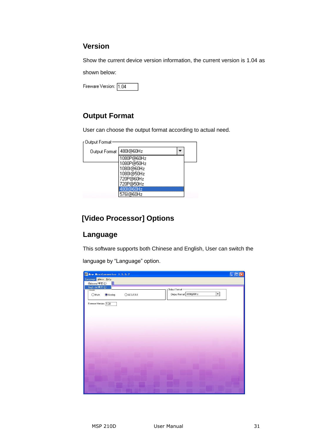#### <span id="page-30-0"></span>**Version**

Show the current device version information, the current version is 1.04 as

shown below:

Fireware Version: 1.04

#### <span id="page-30-1"></span>**Output Format**

User can choose the output format according to actual need.

| r Output Format <sup>.</sup> |                          |  |
|------------------------------|--------------------------|--|
| <b>Output Format</b>         | 4801@60Hz                |  |
|                              | 1080P@60Hz<br>1080P@50Hz |  |
|                              | 1080I@60Hz<br>1080I@50Hz |  |
|                              | 720P@60Hz                |  |
|                              | 720P@50Hz<br>4801@60Hz,  |  |
|                              | 5761@60Hz                |  |

#### <span id="page-30-2"></span>**[Video Processor] Options**

#### <span id="page-30-3"></span>**Language**

This software supports both Chinese and English, User can switch the

language by "Language" option.

| Her HiniConvertor 1.5.5.2       |                                                     | $\Box$ o<br>$\mathsf{\overline{x}}$ |
|---------------------------------|-----------------------------------------------------|-------------------------------------|
| Language Admin Help             |                                                     |                                     |
| Chinese/中文(C)<br>English/英文(E)  |                                                     |                                     |
| <b>PSOUR</b>                    | <sub>F</sub> Output Format-                         |                                     |
| O AES/EBU<br>$O$ Mute<br>Analog | Output Format 4801@60Hz<br>$\overline{\phantom{a}}$ |                                     |
|                                 |                                                     |                                     |
| Fireware Version: 1.04          |                                                     |                                     |
|                                 |                                                     |                                     |
|                                 |                                                     |                                     |
|                                 |                                                     |                                     |
|                                 |                                                     |                                     |
|                                 |                                                     |                                     |
|                                 |                                                     |                                     |
|                                 |                                                     |                                     |
|                                 |                                                     |                                     |
|                                 |                                                     |                                     |
|                                 |                                                     |                                     |
|                                 |                                                     |                                     |
|                                 |                                                     |                                     |
|                                 |                                                     |                                     |
|                                 |                                                     |                                     |
|                                 |                                                     |                                     |
|                                 |                                                     |                                     |
|                                 |                                                     |                                     |
|                                 |                                                     |                                     |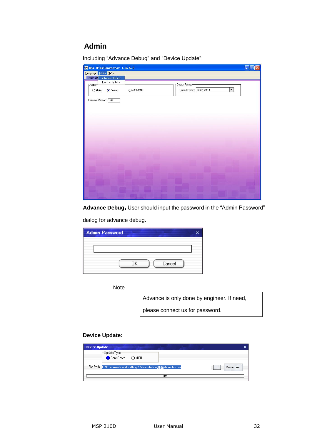#### <span id="page-31-0"></span> **Admin**



Including "Advance Debug" and "Device Update":

Advance Debug: User should input the password in the "Admin Password"

dialog for advance debug.

| <b>Admin Password</b> |  |
|-----------------------|--|
|                       |  |
|                       |  |
| Cancel<br>ΟK          |  |

Note

Advance is only done by engineer. If need,

please connect us for password.

#### **Device Update:**

| <b>Device Update</b>                                                         | $\mathsf{x}$ |
|------------------------------------------------------------------------------|--------------|
| Update Type<br>Core Board OMCU                                               |              |
| File Path_C:\Documents and Settings\Administrator\桌面\Mars.bin.bin<br>1.1.1.1 | Down Load    |
| n۰                                                                           |              |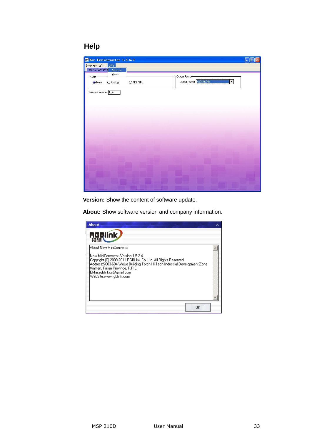#### <span id="page-32-0"></span> **Help**

| New MiniConvertor 1.5.5.2                       |           |                                                                       | $\Box$ c |
|-------------------------------------------------|-----------|-----------------------------------------------------------------------|----------|
| Language Admin Help<br>MSP 210DP DP1<br>Version |           |                                                                       |          |
| About<br>r Audio-<br>● Mute<br>OAnalog          | O AES/EBU | Output Format-<br>$\overline{\phantom{0}}$<br>Output Format 4801@60Hz |          |
| Fireware Version: 1.04                          |           |                                                                       |          |
|                                                 |           |                                                                       |          |
|                                                 |           |                                                                       |          |
|                                                 |           |                                                                       |          |
|                                                 |           |                                                                       |          |
|                                                 |           |                                                                       |          |
|                                                 |           |                                                                       |          |

**Version:** Show the content of software update.

**About:** Show software version and company information.

| <b>About</b>                                                                                                                                                                                                                                                                                         | × |
|------------------------------------------------------------------------------------------------------------------------------------------------------------------------------------------------------------------------------------------------------------------------------------------------------|---|
| <b>RGBlink</b><br>视诚                                                                                                                                                                                                                                                                                 |   |
| About New MiniConvertor<br>New MiniConvertor_Version:1.5.2.4<br>Copyright (C) 2009-2011 RGBLink Co.,Ltd. All Rights Reserved.<br>Address:S603-604 Weiye Building Torch Hi-Tech Industrial Development Zone<br>Xiamen, Fujian Province, P.R.C<br>EMail:rgblinkcs@gmail.com<br>WebSite:www.rgblink.com |   |
|                                                                                                                                                                                                                                                                                                      |   |
| OΚ                                                                                                                                                                                                                                                                                                   |   |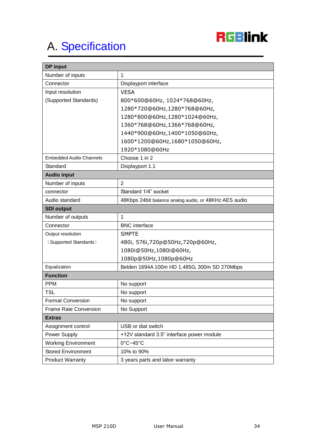

# <span id="page-33-0"></span>A. [Specification](#page-10-6)

| <b>DP</b> input                |                                                       |  |
|--------------------------------|-------------------------------------------------------|--|
| Number of inputs               | $\mathbf{1}$                                          |  |
| Connector                      | Displayport interface                                 |  |
| Input resolution               | <b>VESA</b>                                           |  |
| (Supported Standards)          | 800*600@60Hz, 1024*768@60Hz,                          |  |
|                                | 1280*720@60Hz,1280*768@60Hz,                          |  |
|                                | 1280*800@60Hz,1280*1024@60Hz,                         |  |
|                                | 1360*768@60Hz,1366*768@60Hz,                          |  |
|                                | 1440*900@60Hz,1400*1050@60Hz,                         |  |
|                                | 1600*1200@60Hz,1680*1050@60Hz,                        |  |
|                                | 1920*1080@60Hz                                        |  |
| <b>Embedded Audio Channels</b> | Choose 1 in 2                                         |  |
| Standard                       | Displayport 1.1                                       |  |
| <b>Audio input</b>             |                                                       |  |
| Number of inputs               | $\overline{2}$                                        |  |
| connector                      | Standard 1/4" socket                                  |  |
| Audio standard                 | 48Kbps 24bit balance analog audio, or 48KHz AES audio |  |
| <b>SDI output</b>              |                                                       |  |
| Number of outputs              | 1                                                     |  |
| Connector                      | <b>BNC</b> interface                                  |  |
| Output resolution              | <b>SMPTE</b>                                          |  |
| (Supported Standards)          | 480i, 576i, 720p@50Hz, 720p@60Hz,                     |  |
|                                | 1080i@50Hz,1080i@60Hz,                                |  |
|                                | 1080p@50Hz,1080p@60Hz                                 |  |
| Equalization                   | Belden 1694A 100m HD 1.485G, 300m SD 270Mbps          |  |
| <b>Function</b>                |                                                       |  |
| <b>PPM</b>                     | No support                                            |  |
| <b>TSL</b>                     | No support                                            |  |
| <b>Format Conversion</b>       | No support                                            |  |
| <b>Frame Rate Conversion</b>   | No Support                                            |  |
| <b>Extras</b>                  |                                                       |  |
| Assignment control             | USB or dial switch                                    |  |
| Power Supply                   | +12V standard 3.5" interface power module             |  |
| <b>Working Environment</b>     | 0°C~45°C                                              |  |
| <b>Stored Environment</b>      | 10% to 90%                                            |  |
| <b>Product Warranty</b>        | 3 years parts and labor warranty                      |  |